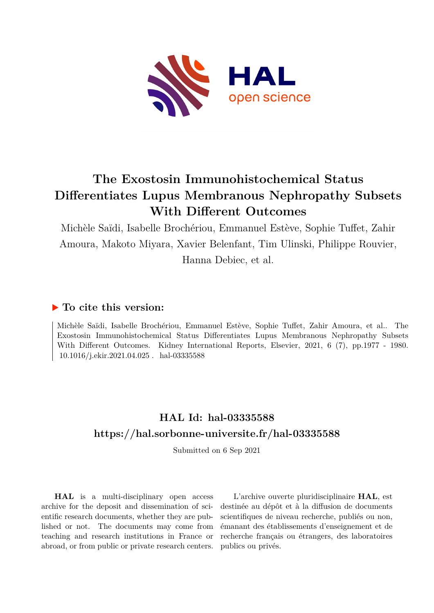

# **The Exostosin Immunohistochemical Status Differentiates Lupus Membranous Nephropathy Subsets With Different Outcomes**

Michèle Saïdi, Isabelle Brochériou, Emmanuel Estève, Sophie Tuffet, Zahir Amoura, Makoto Miyara, Xavier Belenfant, Tim Ulinski, Philippe Rouvier, Hanna Debiec, et al.

# **To cite this version:**

Michèle Saïdi, Isabelle Brochériou, Emmanuel Estève, Sophie Tuffet, Zahir Amoura, et al.. The Exostosin Immunohistochemical Status Differentiates Lupus Membranous Nephropathy Subsets With Different Outcomes. Kidney International Reports, Elsevier, 2021, 6 (7), pp.1977 - 1980.  $10.1016$ /j.ekir.2021.04.025. hal-03335588

# **HAL Id: hal-03335588 <https://hal.sorbonne-universite.fr/hal-03335588>**

Submitted on 6 Sep 2021

**HAL** is a multi-disciplinary open access archive for the deposit and dissemination of scientific research documents, whether they are published or not. The documents may come from teaching and research institutions in France or abroad, or from public or private research centers.

L'archive ouverte pluridisciplinaire **HAL**, est destinée au dépôt et à la diffusion de documents scientifiques de niveau recherche, publiés ou non, émanant des établissements d'enseignement et de recherche français ou étrangers, des laboratoires publics ou privés.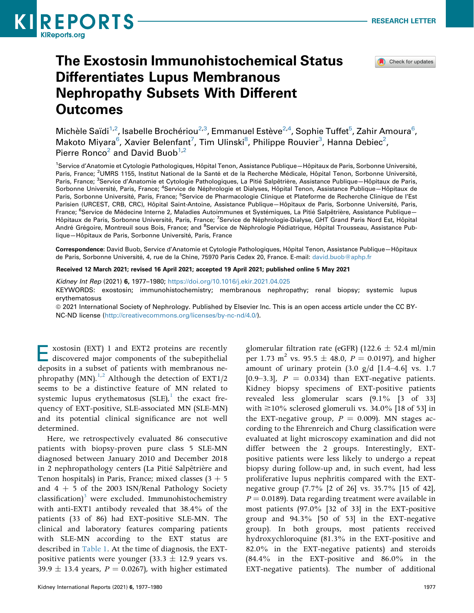

Check for updates

# The Exostosin Immunohistochemical Status Differentiates Lupus Membranous Nephropathy Subsets With Different **Outcomes**

Michèle Saïdi<sup>1,2</sup>, Isabelle Brochériou<sup>2,3</sup>, Emmanuel Estève<sup>2,4</sup>, Sophie Tuffet<sup>5</sup>, Zahir Amoura<sup>6</sup>, Makoto Miyara<sup>6</sup>, Xavier Belenfant<sup>7</sup>, Tim Ulinski<sup>8</sup>, Philippe Rouvier<sup>3</sup>, Hanna Debiec<sup>2</sup>, Pierre Ronco<sup>2</sup> and David Buob<sup>1,2</sup>

1 Service d'Anatomie et Cytologie Pathologiques, Hôpital Tenon, Assistance Publique—Hôpitaux de Paris, Sorbonne Université, Paris, France; <sup>2</sup>UMRS 1155, Institut National de la Santé et de la Recherche Médicale, Hôpital Tenon, Sorbonne Université, Paris, France; <sup>3</sup>Service d'Anatomie et Cytologie Pathologiques, La Pitié Salpêtrière, Assistance Publique–Hôpitaux de Paris, Sorbonne Université, Paris, France; <sup>4</sup>Service de Néphrologie et Dialyses, Hôpital Tenon, Assistance Publique–Hôpitaux de Paris, Sorbonne Université, Paris, France; <sup>5</sup>Service de Pharmacologie Clinique et Plateforme de Recherche Clinique de l'Est Parisien (URCEST, CRB, CRC), Hôpital Saint-Antoine, Assistance Publique—Hôpitaux de Paris, Sorbonne Université, Paris, France; <sup>6</sup>Service de Médecine Interne 2, Maladies Autoimmunes et Systémiques, La Pitié Salpêtrière, Assistance Publique– Hôpitaux de Paris, Sorbonne Université, Paris, France; <sup>7</sup>Service de Néphrologie-Dialyse, GHT Grand Paris Nord Est, Hôpital André Grégoire, Montreuil sous Bois, France; and <sup>8</sup>Service de Néphrologie Pédiatrique, Hôpital Trousseau, Assistance Publique—Hôpitaux de Paris, Sorbonne Université, Paris, France

Correspondence: David Buob, Service d'Anatomie et Cytologie Pathologiques, Hôpital Tenon, Assistance Publique—Hôpitaux de Paris, Sorbonne Université, 4, rue de la Chine, 75970 Paris Cedex 20, France. E-mail: [david.buob@aphp.fr](mailto:david.buob@aphp.fr)

Received 12 March 2021; revised 16 April 2021; accepted 19 April 2021; published online 5 May 2021

Kidney Int Rep (2021) 6, 1977–1980; <https://doi.org/10.1016/j.ekir.2021.04.025>

KEYWORDS: exostosin; immunohistochemistry; membranous nephropathy; renal biopsy; systemic lupus erythematosus

 $@$  2021 International Society of Nephrology. Published by Elsevier Inc. This is an open access article under the CC BY-NC-ND license [\(http://creativecommons.org/licenses/by-nc-nd/4.0/](http://creativecommons.org/licenses/by-nc-nd/4.0/)).

Exostosin (EXT) 1 and EXT2 proteins are recently discovered major components of the subepithelial deposits in a subset of patients with membranous nephropathy (MN).<sup>1,2</sup> Although the detection of EXT1/2 seems to be a distinctive feature of MN related to systemic lupus erythematosus  $(SLE)$ , the exact frequency of EXT-positive, SLE-associated MN (SLE-MN) and its potential clinical significance are not well determined.

Here, we retrospectively evaluated 86 consecutive patients with biopsy-proven pure class 5 SLE-MN diagnosed between January 2010 and December 2018 in 2 nephropathology centers (La Pitié Salpêtrière and Tenon hospitals) in Paris, France; mixed classes  $(3 + 5)$ and  $4 + 5$  of the 2003 ISN/Renal Pathology Society  $classification)^3$  were excluded. Immunohistochemistry with anti-EXT1 antibody revealed that 38.4% of the patients (33 of 86) had EXT-positive SLE-MN. The clinical and laboratory features comparing patients with SLE-MN according to the EXT status are described in Table 1. At the time of diagnosis, the EXTpositive patients were younger (33.3  $\pm$  12.9 years vs.  $39.9 \pm 13.4$  years,  $P = 0.0267$ ), with higher estimated

glomerular filtration rate (eGFR) (122.6  $\pm$  52.4 ml/min per 1.73 m<sup>2</sup> vs. 95.5  $\pm$  48.0,  $P = 0.0197$ ), and higher amount of urinary protein  $(3.0 \text{ g/d} [1.4-4.6] \text{ vs. } 1.7)$ [0.9–3.3],  $P = 0.0334$ ) than EXT-negative patients. Kidney biopsy specimens of EXT-positive patients revealed less glomerular scars (9.1% [3 of 33] with  $\geq$ 10% sclerosed glomeruli vs. 34.0% [18 of 53] in the EXT-negative group,  $P = 0.009$ ). MN stages according to the Ehrenreich and Churg classification were evaluated at light microscopy examination and did not differ between the 2 groups. Interestingly, EXTpositive patients were less likely to undergo a repeat biopsy during follow-up and, in such event, had less proliferative lupus nephritis compared with the EXTnegative group (7.7% [2 of 26] vs. 35.7% [15 of 42],  $P = 0.0189$ ). Data regarding treatment were available in most patients (97.0% [32 of 33] in the EXT-positive group and 94.3% [50 of 53] in the EXT-negative group). In both groups, most patients received hydroxychloroquine (81.3% in the EXT-positive and 82.0% in the EXT-negative patients) and steroids (84.4% in the EXT-positive and 86.0% in the EXT-negative patients). The number of additional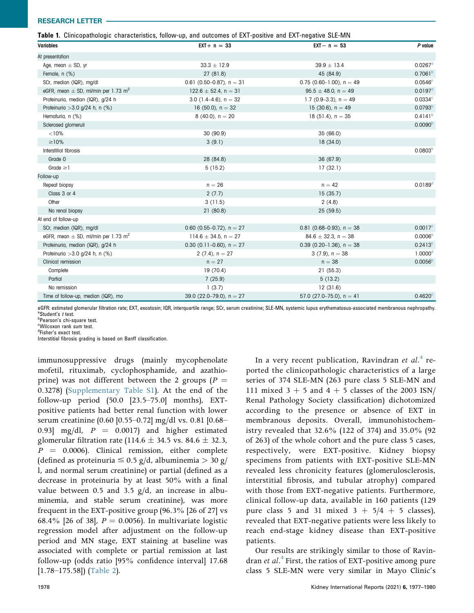#### RESEARCH LETTER

|  |  |  |  |  |  | Table 1. Clinicopathologic characteristics, follow-up, and outcomes of EXT-positive and EXT-negative SLE-MN |  |
|--|--|--|--|--|--|-------------------------------------------------------------------------------------------------------------|--|
|--|--|--|--|--|--|-------------------------------------------------------------------------------------------------------------|--|

| Variables                                           | $EXT + n = 33$              | $EXT - n = 53$                | P value               |
|-----------------------------------------------------|-----------------------------|-------------------------------|-----------------------|
| At presentation                                     |                             |                               |                       |
| Age, mean $\pm$ SD, yr                              | $33.3 \pm 12.9$             | $39.9 \pm 13.4$               | $0.0267$ <sup>a</sup> |
| Female, n (%)                                       | 27(81.8)                    | 45 (84.9)                     | 0.7061 <sup>b</sup>   |
| SCr, median (IQR), mg/dl                            | 0.61 (0.50-0.87), $n = 31$  | $0.75$ (0.60-1.00), n = 49    | 0.0546 <sup>c</sup>   |
| eGFR, mean $\pm$ SD, ml/min per 1.73 m <sup>2</sup> | $122.6 \pm 52.4$ , n = 31   | $95.5 \pm 48.0$ , n = 49      | $0.0197^{\circ}$      |
| Proteinuria, median (IQR), g/24 h                   | 3.0 $(1.4-4.6)$ , n = 32    | 1.7 $(0.9-3.3)$ , n = 49      | 0.0334c               |
| Proteinuria $>3.0$ g/24 h, n (%)                    | 16 (50.0), $n = 32$         | 15 (30.6), $n = 49$           | 0.0793 <sup>b</sup>   |
| Hematuria, n (%)                                    | $8(40.0)$ , $n = 20$        | $18(51.4)$ , n = 35           | 0.4141 <sup>b</sup>   |
| Sclerosed glomeruli                                 |                             |                               | 0.0090 <sup>b</sup>   |
| < 10%                                               | 30 (90.9)                   | 35 (66.0)                     |                       |
| $\geq$ 10%                                          | 3(9.1)                      | 18(34.0)                      |                       |
| Interstitial fibrosis                               |                             |                               | 0.0803 <sup>b</sup>   |
| Grade 0                                             | 28 (84.8)                   | 36 (67.9)                     |                       |
| Grade $\geq$ 1                                      | 5(15.2)                     | 17(32.1)                      |                       |
| Follow-up                                           |                             |                               |                       |
| Repeat biopsy                                       | $n = 26$                    | $n = 42$                      | 0.0189 <sup>d</sup>   |
| Class 3 or 4                                        | 2(7.7)                      | 15(35.7)                      |                       |
| Other                                               | 3(11.5)                     | 2(4.8)                        |                       |
| No renal biopsy                                     | 21(80.8)                    | 25(59.5)                      |                       |
| At end of follow-up                                 |                             |                               |                       |
| SCr, median (IQR), mg/dl                            | 0.60 (0.55-0.72), $n = 27$  | 0.81 (0.68-0.93), $n = 38$    | $0.0017^{\circ}$      |
| eGFR, mean $\pm$ SD, ml/min per 1.73 m <sup>2</sup> | 114.6 $\pm$ 34.5, n = 27    | $84.6 \pm 32.3$ , n = 38      | 0.0006 <sup>o</sup>   |
| Proteinuria, median (IQR), g/24 h                   | 0.30 (0.11-0.60), $n = 27$  | 0.39 $(0.20-1.36)$ , n = 38   | $0.2413^c$            |
| Proteinuria $>3.0$ g/24 h, n (%)                    | 2 $(7.4)$ , $n = 27$        | $3(7.9)$ , $n = 38$           | 1.0000 <sup>d</sup>   |
| Clinical remission                                  | $n = 27$                    | $n = 38$                      | 0.0056 <sup>b</sup>   |
| Complete                                            | 19(70.4)                    | 21(55.3)                      |                       |
| Partial                                             | 7(25.9)                     | 5(13.2)                       |                       |
| No remission                                        | 1(3.7)                      | 12(31.6)                      |                       |
| Time of follow-up, median (IQR), mo                 | 39.0 $(22.0-79.0)$ , n = 27 | 57.0 $(27.0 - 75.0)$ , n = 41 | $0.4620$ <sup>c</sup> |

eGFR: estimated glomerular filtration rate; EXT, exostosin; IQR, interquartile range; SCr, serum creatinine; SLE-MN, systemic lupus erythematosus-associated membranous nephropathy. <sup>a</sup>Student's t test.

b Pearson's chi-square test.

Wilcoxon rank sum test.

<sup>d</sup>Fisher's exact test.

Interstitial fibrosis grading is based on Banff classification.

immunosuppressive drugs (mainly mycophenolate mofetil, rituximab, cyclophosphamide, and azathioprine) was not different between the 2 groups ( $P =$ 0.3278) (Supplementary Table S1). At the end of the follow-up period (50.0 [23.5–75.0] months), EXTpositive patients had better renal function with lower serum creatinine (0.60 [0.55–0.72] mg/dl vs. 0.81 [0.68– 0.93] mg/dl,  $P = 0.0017$  and higher estimated glomerular filtration rate (114.6  $\pm$  34.5 vs. 84.6  $\pm$  32.3,  $P = 0.0006$ . Clinical remission, either complete (defined as proteinuria  $\leq 0.5$  g/d, albuminemia  $> 30$  g/ l, and normal serum creatinine) or partial (defined as a decrease in proteinuria by at least 50% with a final value between 0.5 and 3.5 g/d, an increase in albuminemia, and stable serum creatinine), was more frequent in the EXT-positive group (96.3% [26 of 27] vs 68.4% [26 of 38],  $P = 0.0056$ ]. In multivariate logistic regression model after adjustment on the follow-up period and MN stage, EXT staining at baseline was associated with complete or partial remission at last follow-up (odds ratio [95% confidence interval] 17.68 [1.78–175.58]) (Table 2).

In a very recent publication, Ravindran et  $al<sup>4</sup>$  reported the clinicopathologic characteristics of a large series of 374 SLE-MN (263 pure class 5 SLE-MN and 111 mixed  $3 + 5$  and  $4 + 5$  classes of the 2003 ISN/ Renal Pathology Society classification) dichotomized according to the presence or absence of EXT in membranous deposits. Overall, immunohistochemistry revealed that 32.6% (122 of 374) and 35.0% (92 of 263) of the whole cohort and the pure class 5 cases, respectively, were EXT-positive. Kidney biopsy specimens from patients with EXT-positive SLE-MN revealed less chronicity features (glomerulosclerosis, interstitial fibrosis, and tubular atrophy) compared with those from EXT-negative patients. Furthermore, clinical follow-up data, available in 160 patients (129 pure class 5 and 31 mixed  $3 + 5/4 + 5$  classes), revealed that EXT-negative patients were less likely to reach end-stage kidney disease than EXT-positive patients.

Our results are strikingly similar to those of Ravindran *et al.*<sup>4</sup> First, the ratios of EXT-positive among pure class 5 SLE-MN were very similar in Mayo Clinic's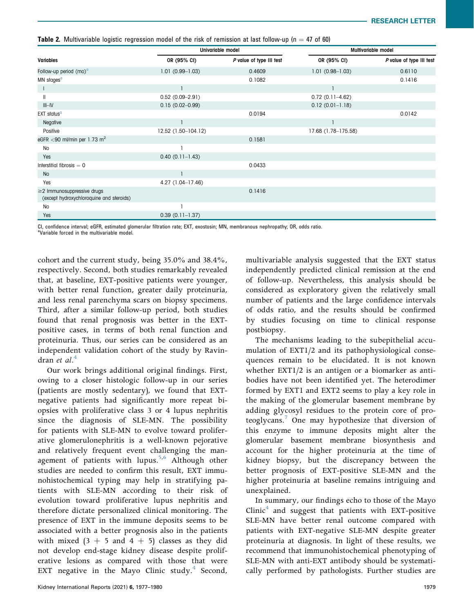**Table 2.** Multivariable logistic regression model of the risk of remission at last follow-up ( $n = 47$  of 60)

|                                                                              |                     | Univariable model        | Multivariable model |                          |  |
|------------------------------------------------------------------------------|---------------------|--------------------------|---------------------|--------------------------|--|
| Variables                                                                    | OR (95% CI)         | P value of type III test | OR (95% CI)         | P value of type III test |  |
| Follow-up period (mo) <sup>a</sup>                                           | $1.01(0.99 - 1.03)$ | 0.4609                   | $1.01(0.98 - 1.03)$ | 0.6110                   |  |
| MN stages <sup>a</sup>                                                       |                     | 0.1082                   |                     | 0.1416                   |  |
|                                                                              |                     |                          |                     |                          |  |
| $\mathbf{H}$                                                                 | $0.52(0.09 - 2.91)$ |                          | $0.72(0.11 - 4.62)$ |                          |  |
| $III - IV$                                                                   | $0.15(0.02 - 0.99)$ |                          | $0.12(0.01 - 1.18)$ |                          |  |
| EXT status <sup>a</sup>                                                      |                     | 0.0194                   |                     | 0.0142                   |  |
| Negative                                                                     |                     |                          |                     |                          |  |
| Positive                                                                     | 12.52 (1.50-104.12) |                          | 17.68 (1.78-175.58) |                          |  |
| eGFR $<$ 90 ml/min per 1.73 m <sup>2</sup>                                   |                     | 0.1581                   |                     |                          |  |
| <b>No</b>                                                                    |                     |                          |                     |                          |  |
| Yes                                                                          | $0.40(0.11 - 1.43)$ |                          |                     |                          |  |
| Interstitial fibrosis $= 0$                                                  |                     | 0.0433                   |                     |                          |  |
| <b>No</b>                                                                    |                     |                          |                     |                          |  |
| Yes                                                                          | 4.27 (1.04-17.46)   |                          |                     |                          |  |
| $\geq$ 2 Immunosuppressive drugs<br>(except hydroxychloroquine and steroids) |                     | 0.1416                   |                     |                          |  |
| No                                                                           |                     |                          |                     |                          |  |
| Yes                                                                          | $0.39(0.11 - 1.37)$ |                          |                     |                          |  |

CI, confidence interval; eGFR, estimated glomerular filtration rate; EXT, exostosin; MN, membranous nephropathy; OR, odds ratio. <sup>a</sup>

<sup>a</sup>Variable forced in the multivariable model.

cohort and the current study, being 35.0% and 38.4%, respectively. Second, both studies remarkably revealed that, at baseline, EXT-positive patients were younger, with better renal function, greater daily proteinuria, and less renal parenchyma scars on biopsy specimens. Third, after a similar follow-up period, both studies found that renal prognosis was better in the EXTpositive cases, in terms of both renal function and proteinuria. Thus, our series can be considered as an independent validation cohort of the study by Ravindran et  $al.^4$ 

Our work brings additional original findings. First, owing to a closer histologic follow-up in our series (patients are mostly sedentary), we found that EXTnegative patients had significantly more repeat biopsies with proliferative class 3 or 4 lupus nephritis since the diagnosis of SLE-MN. The possibility for patients with SLE-MN to evolve toward proliferative glomerulonephritis is a well-known pejorative and relatively frequent event challenging the management of patients with lupus.<sup>5,6</sup> Although other studies are needed to confirm this result, EXT immunohistochemical typing may help in stratifying patients with SLE-MN according to their risk of evolution toward proliferative lupus nephritis and therefore dictate personalized clinical monitoring. The presence of EXT in the immune deposits seems to be associated with a better prognosis also in the patients with mixed  $(3 + 5$  and  $4 + 5)$  classes as they did not develop end-stage kidney disease despite proliferative lesions as compared with those that were EXT negative in the Mayo Clinic study. $4$  Second,

multivariable analysis suggested that the EXT status independently predicted clinical remission at the end of follow-up. Nevertheless, this analysis should be considered as exploratory given the relatively small number of patients and the large confidence intervals of odds ratio, and the results should be confirmed by studies focusing on time to clinical response postbiopsy.

The mechanisms leading to the subepithelial accumulation of EXT1/2 and its pathophysiological consequences remain to be elucidated. It is not known whether EXT1/2 is an antigen or a biomarker as antibodies have not been identified yet. The heterodimer formed by EXT1 and EXT2 seems to play a key role in the making of the glomerular basement membrane by adding glycosyl residues to the protein core of proteoglycans.<sup>7</sup> One may hypothesize that diversion of this enzyme to immune deposits might alter the glomerular basement membrane biosynthesis and account for the higher proteinuria at the time of kidney biopsy, but the discrepancy between the better prognosis of EXT-positive SLE-MN and the higher proteinuria at baseline remains intriguing and unexplained.

In summary, our findings echo to those of the Mayo  $C$ linic $4$  and suggest that patients with EXT-positive SLE-MN have better renal outcome compared with patients with EXT-negative SLE-MN despite greater proteinuria at diagnosis. In light of these results, we recommend that immunohistochemical phenotyping of SLE-MN with anti-EXT antibody should be systematically performed by pathologists. Further studies are